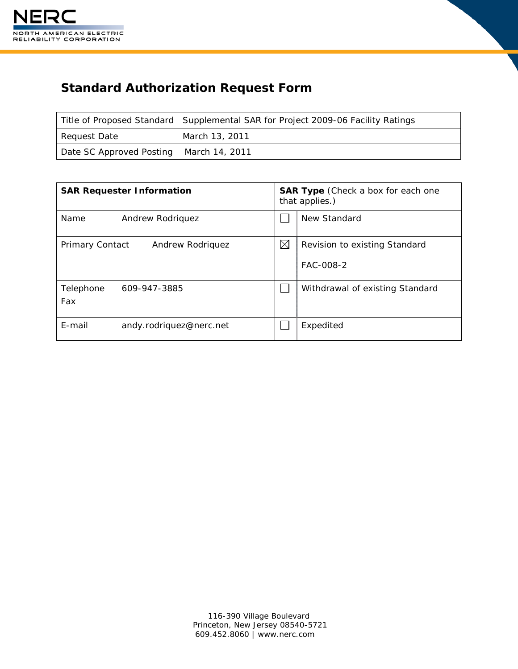

# **Standard Authorization Request Form**

|                                         | Title of Proposed Standard Supplemental SAR for Project 2009-06 Facility Ratings |
|-----------------------------------------|----------------------------------------------------------------------------------|
| Request Date                            | March 13, 2011                                                                   |
| Date SC Approved Posting March 14, 2011 |                                                                                  |

| <b>SAR Requester Information</b>    |             | <b>SAR Type</b> (Check a box for each one<br>that applies.) |  |
|-------------------------------------|-------------|-------------------------------------------------------------|--|
| Name<br>Andrew Rodriquez            |             | New Standard                                                |  |
| Primary Contact<br>Andrew Rodriguez | $\boxtimes$ | Revision to existing Standard<br>FAC-008-2                  |  |
| Telephone<br>609-947-3885<br>Fax    |             | Withdrawal of existing Standard                             |  |
| E-mail<br>andy.rodriquez@nerc.net   |             | Expedited                                                   |  |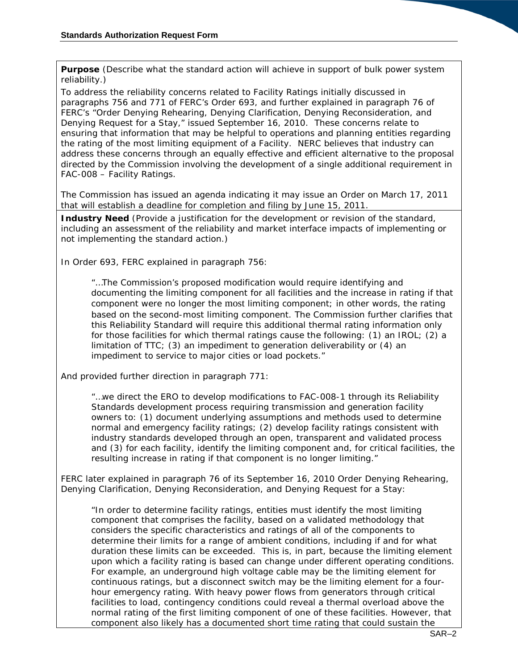**Purpose** (Describe what the standard action will achieve in support of bulk power system reliability.)

To address the reliability concerns related to Facility Ratings initially discussed in paragraphs 756 and 771 of FERC's Order 693, and further explained in paragraph 76 of FERC's "Order Denying Rehearing, Denying Clarification, Denying Reconsideration, and Denying Request for a Stay," issued September 16, 2010. These concerns relate to ensuring that information that may be helpful to operations and planning entities regarding the rating of the most limiting equipment of a Facility. NERC believes that industry can address these concerns through an equally effective and efficient alternative to the proposal directed by the Commission involving the development of a single additional requirement in FAC-008 – Facility Ratings.

The Commission has issued an agenda indicating it may issue an Order on March 17, 2011 that will establish a deadline for completion and filing by June 15, 2011.

**Industry Need** (Provide a justification for the development or revision of the standard, including an assessment of the reliability and market interface impacts of implementing or not implementing the standard action.)

In Order 693, FERC explained in paragraph 756:

"…The Commission's proposed modification would require identifying and documenting the limiting component for all facilities and the increase in rating if that component were no longer the most limiting component; in other words, the rating based on the second-most limiting component. The Commission further clarifies that this Reliability Standard will require this additional thermal rating information only for those facilities for which thermal ratings cause the following: (1) an IROL; (2) a limitation of TTC; (3) an impediment to generation deliverability or (4) an impediment to service to major cities or load pockets."

And provided further direction in paragraph 771:

"…we direct the ERO to develop modifications to FAC-008-1 through its Reliability Standards development process requiring transmission and generation facility owners to: (1) document underlying assumptions and methods used to determine normal and emergency facility ratings; (2) develop facility ratings consistent with industry standards developed through an open, transparent and validated process and (3) for each facility, identify the limiting component and, for critical facilities, the resulting increase in rating if that component is no longer limiting."

FERC later explained in paragraph 76 of its September 16, 2010 Order Denying Rehearing, Denying Clarification, Denying Reconsideration, and Denying Request for a Stay:

"In order to determine facility ratings, entities must identify the most limiting component that comprises the facility, based on a validated methodology that considers the specific characteristics and ratings of all of the components to determine their limits for a range of ambient conditions, including if and for what duration these limits can be exceeded. This is, in part, because the limiting element upon which a facility rating is based can change under different operating conditions. For example, an underground high voltage cable may be the limiting element for continuous ratings, but a disconnect switch may be the limiting element for a fourhour emergency rating. With heavy power flows from generators through critical facilities to load, contingency conditions could reveal a thermal overload above the normal rating of the first limiting component of one of these facilities. However, that component also likely has a documented short time rating that could sustain the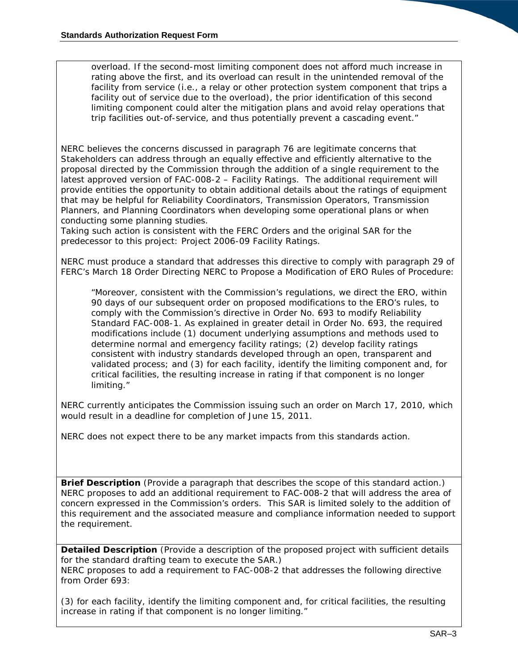overload. If the second-most limiting component does not afford much increase in rating above the first, and its overload can result in the unintended removal of the facility from service (i.e., a relay or other protection system component that trips a facility out of service due to the overload), the prior identification of this second limiting component could alter the mitigation plans and avoid relay operations that trip facilities out-of-service, and thus potentially prevent a cascading event."

NERC believes the concerns discussed in paragraph 76 are legitimate concerns that Stakeholders can address through an equally effective and efficiently alternative to the proposal directed by the Commission through the addition of a single requirement to the latest approved version of FAC-008-2 – Facility Ratings. The additional requirement will provide entities the opportunity to obtain additional details about the ratings of equipment that may be helpful for Reliability Coordinators, Transmission Operators, Transmission Planners, and Planning Coordinators when developing some operational plans or when conducting some planning studies.

Taking such action is consistent with the FERC Orders and the original SAR for the predecessor to this project: Project 2006-09 Facility Ratings.

NERC must produce a standard that addresses this directive to comply with paragraph 29 of FERC's March 18 Order Directing NERC to Propose a Modification of ERO Rules of Procedure:

"Moreover, consistent with the Commission's regulations, we direct the ERO, within 90 days of our subsequent order on proposed modifications to the ERO's rules, to comply with the Commission's directive in Order No. 693 to modify Reliability Standard FAC-008-1. As explained in greater detail in Order No. 693, the required modifications include (1) document underlying assumptions and methods used to determine normal and emergency facility ratings; (2) develop facility ratings consistent with industry standards developed through an open, transparent and validated process; and (3) for each facility, identify the limiting component and, for critical facilities, the resulting increase in rating if that component is no longer limiting."

NERC currently anticipates the Commission issuing such an order on March 17, 2010, which would result in a deadline for completion of June 15, 2011.

NERC does not expect there to be any market impacts from this standards action.

**Brief Description** (Provide a paragraph that describes the scope of this standard action.) NERC proposes to add an additional requirement to FAC-008-2 that will address the area of concern expressed in the Commission's orders. This SAR is limited solely to the addition of this requirement and the associated measure and compliance information needed to support the requirement.

**Detailed Description** (Provide a description of the proposed project with sufficient details for the standard drafting team to execute the SAR.) NERC proposes to add a requirement to FAC-008-2 that addresses the following directive from Order 693:

(3) for each facility, identify the limiting component and, for critical facilities, the resulting increase in rating if that component is no longer limiting."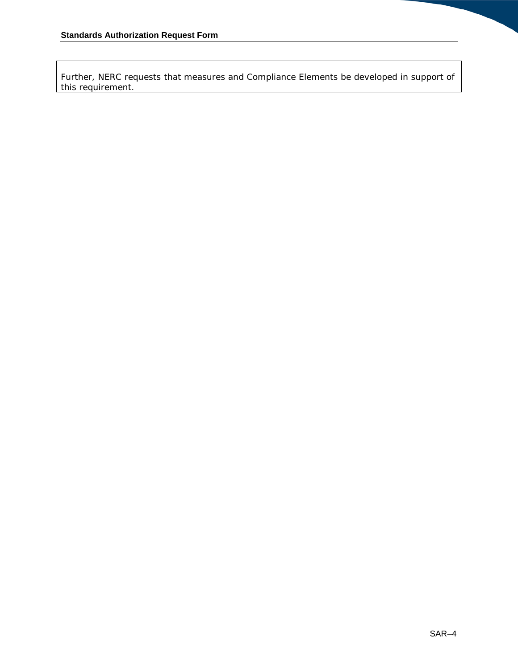Further, NERC requests that measures and Compliance Elements be developed in support of this requirement.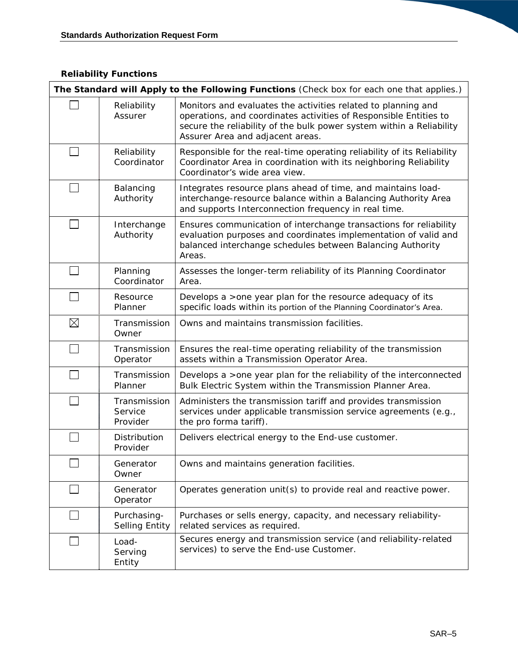## *Reliability Functions*

| The Standard will Apply to the Following Functions (Check box for each one that applies.) |                                      |                                                                                                                                                                                                                                                |
|-------------------------------------------------------------------------------------------|--------------------------------------|------------------------------------------------------------------------------------------------------------------------------------------------------------------------------------------------------------------------------------------------|
|                                                                                           | Reliability<br>Assurer               | Monitors and evaluates the activities related to planning and<br>operations, and coordinates activities of Responsible Entities to<br>secure the reliability of the bulk power system within a Reliability<br>Assurer Area and adjacent areas. |
|                                                                                           | Reliability<br>Coordinator           | Responsible for the real-time operating reliability of its Reliability<br>Coordinator Area in coordination with its neighboring Reliability<br>Coordinator's wide area view.                                                                   |
|                                                                                           | Balancing<br>Authority               | Integrates resource plans ahead of time, and maintains load-<br>interchange-resource balance within a Balancing Authority Area<br>and supports Interconnection frequency in real time.                                                         |
|                                                                                           | Interchange<br>Authority             | Ensures communication of interchange transactions for reliability<br>evaluation purposes and coordinates implementation of valid and<br>balanced interchange schedules between Balancing Authority<br>Areas.                                   |
|                                                                                           | Planning<br>Coordinator              | Assesses the longer-term reliability of its Planning Coordinator<br>Area.                                                                                                                                                                      |
|                                                                                           | Resource<br>Planner                  | Develops a >one year plan for the resource adequacy of its<br>specific loads within its portion of the Planning Coordinator's Area.                                                                                                            |
| $\boxtimes$                                                                               | Transmission<br>Owner                | Owns and maintains transmission facilities.                                                                                                                                                                                                    |
|                                                                                           | Transmission<br>Operator             | Ensures the real-time operating reliability of the transmission<br>assets within a Transmission Operator Area.                                                                                                                                 |
|                                                                                           | Transmission<br>Planner              | Develops a > one year plan for the reliability of the interconnected<br>Bulk Electric System within the Transmission Planner Area.                                                                                                             |
|                                                                                           | Transmission<br>Service<br>Provider  | Administers the transmission tariff and provides transmission<br>services under applicable transmission service agreements (e.g.,<br>the pro forma tariff).                                                                                    |
|                                                                                           | Distribution<br>Provider             | Delivers electrical energy to the End-use customer.                                                                                                                                                                                            |
|                                                                                           | Generator<br>Owner                   | Owns and maintains generation facilities.                                                                                                                                                                                                      |
|                                                                                           | Generator<br>Operator                | Operates generation unit(s) to provide real and reactive power.                                                                                                                                                                                |
|                                                                                           | Purchasing-<br><b>Selling Entity</b> | Purchases or sells energy, capacity, and necessary reliability-<br>related services as required.                                                                                                                                               |
|                                                                                           | Load-<br>Serving<br>Entity           | Secures energy and transmission service (and reliability-related<br>services) to serve the End-use Customer.                                                                                                                                   |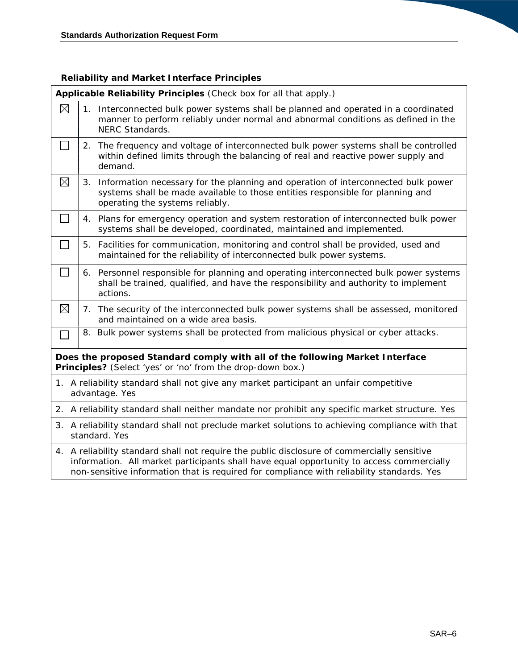## *Reliability and Market Interface Principles*

|                                                                                                                                            | Applicable Reliability Principles (Check box for all that apply.)                                                                                                                                                                                                                    |                                                                                                                                                                                                           |  |
|--------------------------------------------------------------------------------------------------------------------------------------------|--------------------------------------------------------------------------------------------------------------------------------------------------------------------------------------------------------------------------------------------------------------------------------------|-----------------------------------------------------------------------------------------------------------------------------------------------------------------------------------------------------------|--|
| $\boxtimes$                                                                                                                                |                                                                                                                                                                                                                                                                                      | 1. Interconnected bulk power systems shall be planned and operated in a coordinated<br>manner to perform reliably under normal and abnormal conditions as defined in the<br>NERC Standards.               |  |
| $\Box$                                                                                                                                     | 2.                                                                                                                                                                                                                                                                                   | The frequency and voltage of interconnected bulk power systems shall be controlled<br>within defined limits through the balancing of real and reactive power supply and<br>demand.                        |  |
| $\boxtimes$                                                                                                                                |                                                                                                                                                                                                                                                                                      | 3. Information necessary for the planning and operation of interconnected bulk power<br>systems shall be made available to those entities responsible for planning and<br>operating the systems reliably. |  |
| $\Box$                                                                                                                                     |                                                                                                                                                                                                                                                                                      | 4. Plans for emergency operation and system restoration of interconnected bulk power<br>systems shall be developed, coordinated, maintained and implemented.                                              |  |
| $\Box$                                                                                                                                     |                                                                                                                                                                                                                                                                                      | 5. Facilities for communication, monitoring and control shall be provided, used and<br>maintained for the reliability of interconnected bulk power systems.                                               |  |
| $\Box$                                                                                                                                     |                                                                                                                                                                                                                                                                                      | 6. Personnel responsible for planning and operating interconnected bulk power systems<br>shall be trained, qualified, and have the responsibility and authority to implement<br>actions.                  |  |
| $\boxtimes$                                                                                                                                |                                                                                                                                                                                                                                                                                      | 7. The security of the interconnected bulk power systems shall be assessed, monitored<br>and maintained on a wide area basis.                                                                             |  |
| П                                                                                                                                          |                                                                                                                                                                                                                                                                                      | 8. Bulk power systems shall be protected from malicious physical or cyber attacks.                                                                                                                        |  |
| Does the proposed Standard comply with all of the following Market Interface<br>Principles? (Select 'yes' or 'no' from the drop-down box.) |                                                                                                                                                                                                                                                                                      |                                                                                                                                                                                                           |  |
|                                                                                                                                            |                                                                                                                                                                                                                                                                                      | 1. A reliability standard shall not give any market participant an unfair competitive<br>advantage. Yes                                                                                                   |  |
|                                                                                                                                            | 2. A reliability standard shall neither mandate nor prohibit any specific market structure. Yes                                                                                                                                                                                      |                                                                                                                                                                                                           |  |
| 3. A reliability standard shall not preclude market solutions to achieving compliance with that<br>standard. Yes                           |                                                                                                                                                                                                                                                                                      |                                                                                                                                                                                                           |  |
|                                                                                                                                            | 4. A reliability standard shall not require the public disclosure of commercially sensitive<br>information. All market participants shall have equal opportunity to access commercially<br>non-sensitive information that is required for compliance with reliability standards. Yes |                                                                                                                                                                                                           |  |